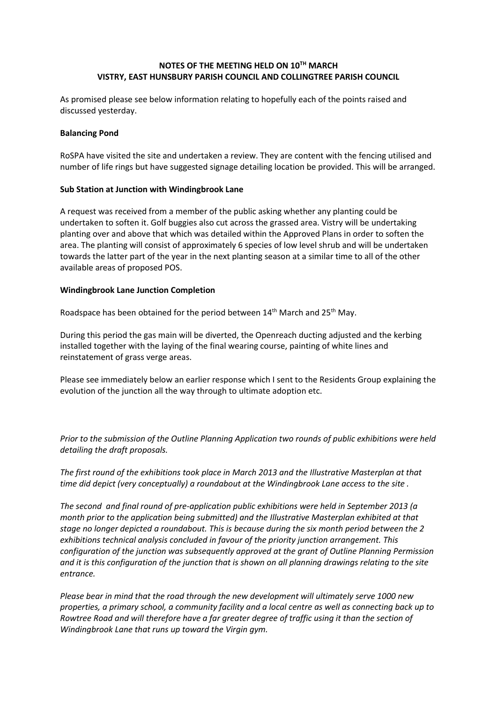## **NOTES OF THE MEETING HELD ON 10TH MARCH VISTRY, EAST HUNSBURY PARISH COUNCIL AND COLLINGTREE PARISH COUNCIL**

As promised please see below information relating to hopefully each of the points raised and discussed yesterday.

#### **Balancing Pond**

RoSPA have visited the site and undertaken a review. They are content with the fencing utilised and number of life rings but have suggested signage detailing location be provided. This will be arranged.

#### **Sub Station at Junction with Windingbrook Lane**

A request was received from a member of the public asking whether any planting could be undertaken to soften it. Golf buggies also cut across the grassed area. Vistry will be undertaking planting over and above that which was detailed within the Approved Plans in order to soften the area. The planting will consist of approximately 6 species of low level shrub and will be undertaken towards the latter part of the year in the next planting season at a similar time to all of the other available areas of proposed POS.

#### **Windingbrook Lane Junction Completion**

Roadspace has been obtained for the period between 14<sup>th</sup> March and 25<sup>th</sup> May.

During this period the gas main will be diverted, the Openreach ducting adjusted and the kerbing installed together with the laying of the final wearing course, painting of white lines and reinstatement of grass verge areas.

Please see immediately below an earlier response which I sent to the Residents Group explaining the evolution of the junction all the way through to ultimate adoption etc.

*Prior to the submission of the Outline Planning Application two rounds of public exhibitions were held detailing the draft proposals.*

*The first round of the exhibitions took place in March 2013 and the Illustrative Masterplan at that time did depict (very conceptually) a roundabout at the Windingbrook Lane access to the site .*

*The second and final round of pre-application public exhibitions were held in September 2013 (a month prior to the application being submitted) and the Illustrative Masterplan exhibited at that stage no longer depicted a roundabout. This is because during the six month period between the 2 exhibitions technical analysis concluded in favour of the priority junction arrangement. This configuration of the junction was subsequently approved at the grant of Outline Planning Permission and it is this configuration of the junction that is shown on all planning drawings relating to the site entrance.*

*Please bear in mind that the road through the new development will ultimately serve 1000 new properties, a primary school, a community facility and a local centre as well as connecting back up to Rowtree Road and will therefore have a far greater degree of traffic using it than the section of Windingbrook Lane that runs up toward the Virgin gym.*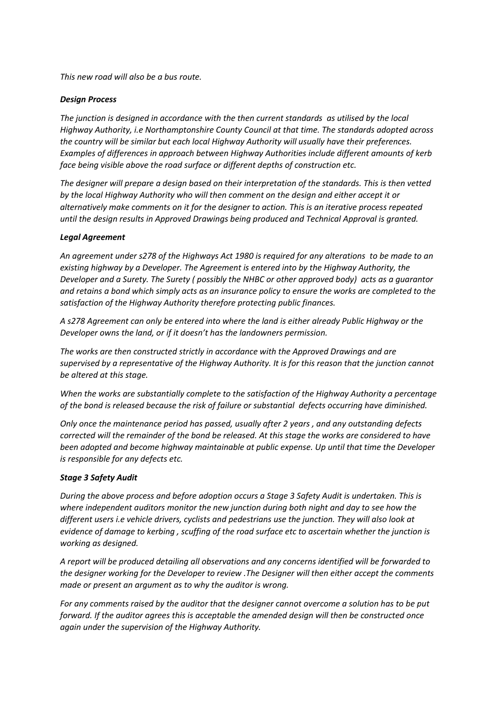*This new road will also be a bus route.*

## *Design Process*

*The junction is designed in accordance with the then current standards as utilised by the local Highway Authority, i.e Northamptonshire County Council at that time. The standards adopted across the country will be similar but each local Highway Authority will usually have their preferences. Examples of differences in approach between Highway Authorities include different amounts of kerb face being visible above the road surface or different depths of construction etc.*

*The designer will prepare a design based on their interpretation of the standards. This is then vetted by the local Highway Authority who will then comment on the design and either accept it or alternatively make comments on it for the designer to action. This is an iterative process repeated until the design results in Approved Drawings being produced and Technical Approval is granted.*

## *Legal Agreement*

*An agreement under s278 of the Highways Act 1980 is required for any alterations to be made to an existing highway by a Developer. The Agreement is entered into by the Highway Authority, the Developer and a Surety. The Surety ( possibly the NHBC or other approved body) acts as a guarantor and retains a bond which simply acts as an insurance policy to ensure the works are completed to the satisfaction of the Highway Authority therefore protecting public finances.*

*A s278 Agreement can only be entered into where the land is either already Public Highway or the Developer owns the land, or if it doesn't has the landowners permission.*

*The works are then constructed strictly in accordance with the Approved Drawings and are supervised by a representative of the Highway Authority. It is for this reason that the junction cannot be altered at this stage.*

*When the works are substantially complete to the satisfaction of the Highway Authority a percentage of the bond is released because the risk of failure or substantial defects occurring have diminished.* 

*Only once the maintenance period has passed, usually after 2 years , and any outstanding defects corrected will the remainder of the bond be released. At this stage the works are considered to have been adopted and become highway maintainable at public expense. Up until that time the Developer is responsible for any defects etc.*

### *Stage 3 Safety Audit*

*During the above process and before adoption occurs a Stage 3 Safety Audit is undertaken. This is where independent auditors monitor the new junction during both night and day to see how the different users i.e vehicle drivers, cyclists and pedestrians use the junction. They will also look at evidence of damage to kerbing , scuffing of the road surface etc to ascertain whether the junction is working as designed.* 

*A report will be produced detailing all observations and any concerns identified will be forwarded to the designer working for the Developer to review .The Designer will then either accept the comments made or present an argument as to why the auditor is wrong.*

*For any comments raised by the auditor that the designer cannot overcome a solution has to be put forward. If the auditor agrees this is acceptable the amended design will then be constructed once again under the supervision of the Highway Authority.*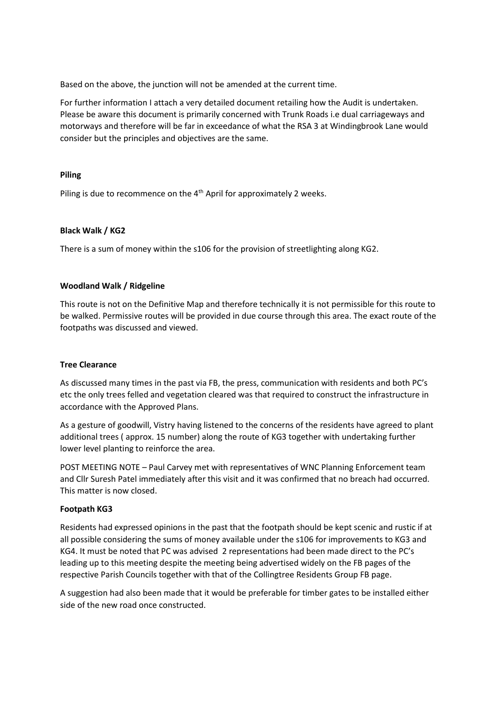Based on the above, the junction will not be amended at the current time.

For further information I attach a very detailed document retailing how the Audit is undertaken. Please be aware this document is primarily concerned with Trunk Roads i.e dual carriageways and motorways and therefore will be far in exceedance of what the RSA 3 at Windingbrook Lane would consider but the principles and objectives are the same.

### **Piling**

Piling is due to recommence on the 4<sup>th</sup> April for approximately 2 weeks.

## **Black Walk / KG2**

There is a sum of money within the s106 for the provision of streetlighting along KG2.

## **Woodland Walk / Ridgeline**

This route is not on the Definitive Map and therefore technically it is not permissible for this route to be walked. Permissive routes will be provided in due course through this area. The exact route of the footpaths was discussed and viewed.

### **Tree Clearance**

As discussed many times in the past via FB, the press, communication with residents and both PC's etc the only trees felled and vegetation cleared was that required to construct the infrastructure in accordance with the Approved Plans.

As a gesture of goodwill, Vistry having listened to the concerns of the residents have agreed to plant additional trees ( approx. 15 number) along the route of KG3 together with undertaking further lower level planting to reinforce the area.

POST MEETING NOTE – Paul Carvey met with representatives of WNC Planning Enforcement team and Cllr Suresh Patel immediately after this visit and it was confirmed that no breach had occurred. This matter is now closed.

### **Footpath KG3**

Residents had expressed opinions in the past that the footpath should be kept scenic and rustic if at all possible considering the sums of money available under the s106 for improvements to KG3 and KG4. It must be noted that PC was advised 2 representations had been made direct to the PC's leading up to this meeting despite the meeting being advertised widely on the FB pages of the respective Parish Councils together with that of the Collingtree Residents Group FB page.

A suggestion had also been made that it would be preferable for timber gates to be installed either side of the new road once constructed.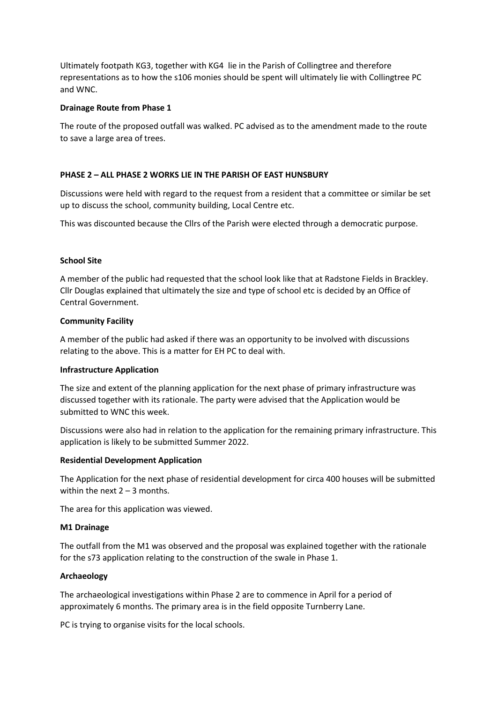Ultimately footpath KG3, together with KG4 lie in the Parish of Collingtree and therefore representations as to how the s106 monies should be spent will ultimately lie with Collingtree PC and WNC.

### **Drainage Route from Phase 1**

The route of the proposed outfall was walked. PC advised as to the amendment made to the route to save a large area of trees.

## **PHASE 2 – ALL PHASE 2 WORKS LIE IN THE PARISH OF EAST HUNSBURY**

Discussions were held with regard to the request from a resident that a committee or similar be set up to discuss the school, community building, Local Centre etc.

This was discounted because the Cllrs of the Parish were elected through a democratic purpose.

## **School Site**

A member of the public had requested that the school look like that at Radstone Fields in Brackley. Cllr Douglas explained that ultimately the size and type of school etc is decided by an Office of Central Government.

### **Community Facility**

A member of the public had asked if there was an opportunity to be involved with discussions relating to the above. This is a matter for EH PC to deal with.

### **Infrastructure Application**

The size and extent of the planning application for the next phase of primary infrastructure was discussed together with its rationale. The party were advised that the Application would be submitted to WNC this week.

Discussions were also had in relation to the application for the remaining primary infrastructure. This application is likely to be submitted Summer 2022.

# **Residential Development Application**

The Application for the next phase of residential development for circa 400 houses will be submitted within the next  $2 - 3$  months.

The area for this application was viewed.

### **M1 Drainage**

The outfall from the M1 was observed and the proposal was explained together with the rationale for the s73 application relating to the construction of the swale in Phase 1.

# **Archaeology**

The archaeological investigations within Phase 2 are to commence in April for a period of approximately 6 months. The primary area is in the field opposite Turnberry Lane.

PC is trying to organise visits for the local schools.